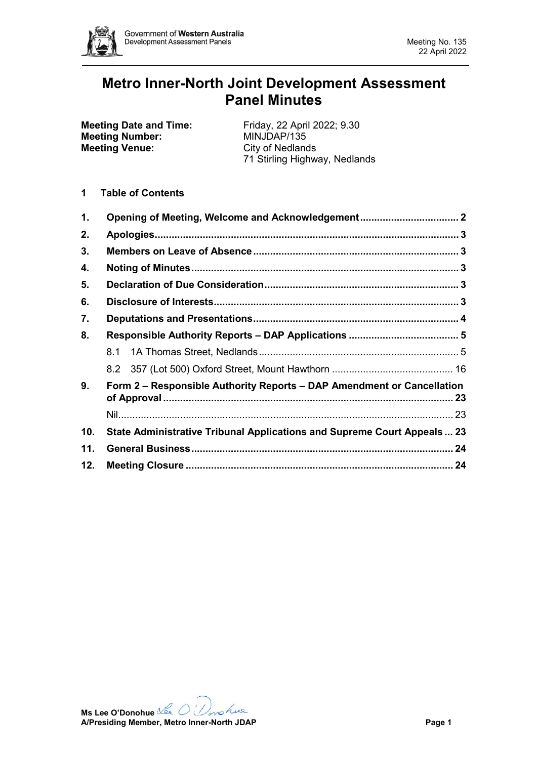

# **Metro Inner-North Joint Development Assessment Panel Minutes**

| <b>Meeting Date and Time:</b> | Friday, 22 April 2022; 9.30   |
|-------------------------------|-------------------------------|
| <b>Meeting Number:</b>        | MINJDAP/135                   |
| <b>Meeting Venue:</b>         | City of Nedlands              |
|                               | 71 Stirling Highway, Nedlands |
|                               |                               |

**1 Table of Contents**

| 1.  |                                                                         |  |  |  |
|-----|-------------------------------------------------------------------------|--|--|--|
| 2.  |                                                                         |  |  |  |
| 3.  |                                                                         |  |  |  |
| 4.  |                                                                         |  |  |  |
| 5.  |                                                                         |  |  |  |
| 6.  |                                                                         |  |  |  |
| 7.  |                                                                         |  |  |  |
| 8.  |                                                                         |  |  |  |
|     |                                                                         |  |  |  |
|     |                                                                         |  |  |  |
| 9.  | Form 2 – Responsible Authority Reports – DAP Amendment or Cancellation  |  |  |  |
|     |                                                                         |  |  |  |
| 10. | State Administrative Tribunal Applications and Supreme Court Appeals 23 |  |  |  |
| 11. |                                                                         |  |  |  |
| 12. |                                                                         |  |  |  |

**Ms Lee O'Donohue A/Presiding Member, Metro Inner-North JDAP Page 1**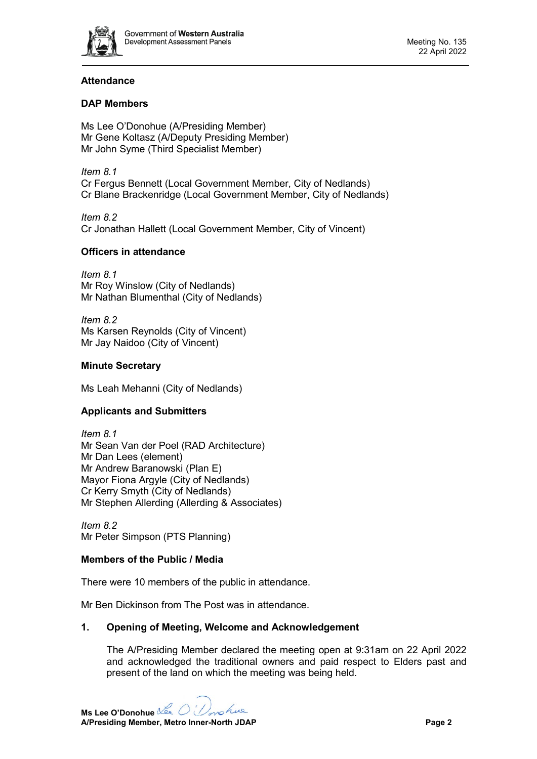

# **Attendance**

# **DAP Members**

Ms Lee O'Donohue (A/Presiding Member) Mr Gene Koltasz (A/Deputy Presiding Member) Mr John Syme (Third Specialist Member)

*Item 8.1* Cr Fergus Bennett (Local Government Member, City of Nedlands) Cr Blane Brackenridge (Local Government Member, City of Nedlands)

*Item 8.2* Cr Jonathan Hallett (Local Government Member, City of Vincent)

# **Officers in attendance**

*Item 8.1* Mr Roy Winslow (City of Nedlands) Mr Nathan Blumenthal (City of Nedlands)

*Item 8.2* Ms Karsen Reynolds (City of Vincent) Mr Jay Naidoo (City of Vincent)

# **Minute Secretary**

Ms Leah Mehanni (City of Nedlands)

# **Applicants and Submitters**

*Item 8.1* Mr Sean Van der Poel (RAD Architecture) Mr Dan Lees (element) Mr Andrew Baranowski (Plan E) Mayor Fiona Argyle (City of Nedlands) Cr Kerry Smyth (City of Nedlands) Mr Stephen Allerding (Allerding & Associates)

*Item 8.2* Mr Peter Simpson (PTS Planning)

# **Members of the Public / Media**

There were 10 members of the public in attendance.

Mr Ben Dickinson from The Post was in attendance.

# <span id="page-1-0"></span>**1. Opening of Meeting, Welcome and Acknowledgement**

The A/Presiding Member declared the meeting open at 9:31am on 22 April 2022 and acknowledged the traditional owners and paid respect to Elders past and present of the land on which the meeting was being held.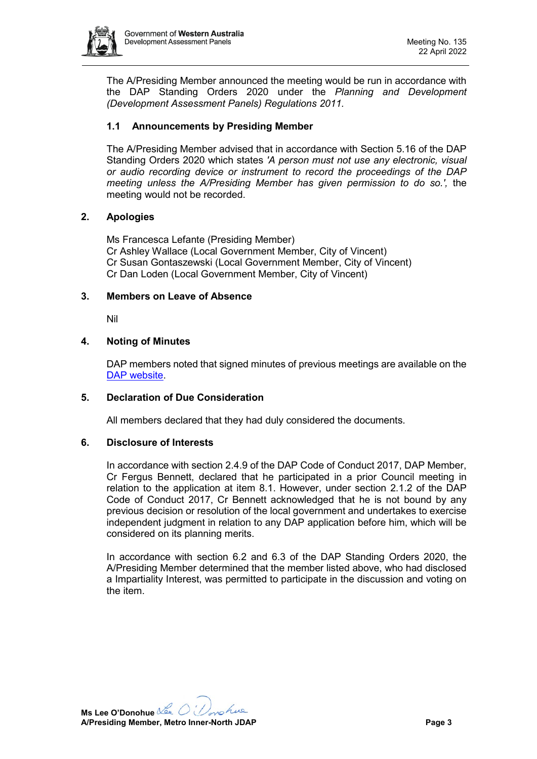

The A/Presiding Member announced the meeting would be run in accordance with the DAP Standing Orders 2020 under the *Planning and Development (Development Assessment Panels) Regulations 2011.*

# **1.1 Announcements by Presiding Member**

The A/Presiding Member advised that in accordance with Section 5.16 of the DAP Standing Orders 2020 which states *'A person must not use any electronic, visual or audio recording device or instrument to record the proceedings of the DAP meeting unless the A/Presiding Member has given permission to do so.',* the meeting would not be recorded.

# <span id="page-2-0"></span>**2. Apologies**

Ms Francesca Lefante (Presiding Member) Cr Ashley Wallace (Local Government Member, City of Vincent) Cr Susan Gontaszewski (Local Government Member, City of Vincent) Cr Dan Loden (Local Government Member, City of Vincent)

#### <span id="page-2-1"></span>**3. Members on Leave of Absence**

Nil

# <span id="page-2-2"></span>**4. Noting of Minutes**

DAP members noted that signed minutes of previous meetings are available on the [DAP website.](https://www.dplh.wa.gov.au/about/development-assessment-panels/daps-agendas-and-minutes)

# <span id="page-2-3"></span>**5. Declaration of Due Consideration**

All members declared that they had duly considered the documents.

#### <span id="page-2-4"></span>**6. Disclosure of Interests**

In accordance with section 2.4.9 of the DAP Code of Conduct 2017, DAP Member, Cr Fergus Bennett, declared that he participated in a prior Council meeting in relation to the application at item 8.1. However, under section 2.1.2 of the DAP Code of Conduct 2017, Cr Bennett acknowledged that he is not bound by any previous decision or resolution of the local government and undertakes to exercise independent judgment in relation to any DAP application before him, which will be considered on its planning merits.

In accordance with section 6.2 and 6.3 of the DAP Standing Orders 2020, the A/Presiding Member determined that the member listed above, who had disclosed a Impartiality Interest, was permitted to participate in the discussion and voting on the item.

**Ms Lee O'Donohue** nohue **A/Presiding Member, Metro Inner-North JDAP Page 3**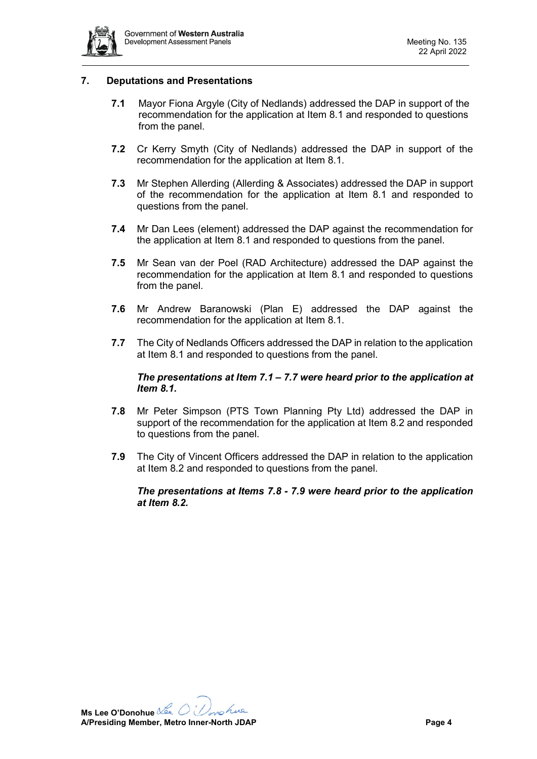

#### <span id="page-3-0"></span>**7. Deputations and Presentations**

- **7.1** Mayor Fiona Argyle (City of Nedlands) addressed the DAP in support of the recommendation for the application at Item 8.1 and responded to questions from the panel.
- **7.2** Cr Kerry Smyth (City of Nedlands) addressed the DAP in support of the recommendation for the application at Item 8.1.
- **7.3** Mr Stephen Allerding (Allerding & Associates) addressed the DAP in support of the recommendation for the application at Item 8.1 and responded to questions from the panel.
- **7.4** Mr Dan Lees (element) addressed the DAP against the recommendation for the application at Item 8.1 and responded to questions from the panel.
- **7.5** Mr Sean van der Poel (RAD Architecture) addressed the DAP against the recommendation for the application at Item 8.1 and responded to questions from the panel.
- **7.6** Mr Andrew Baranowski (Plan E) addressed the DAP against the recommendation for the application at Item 8.1.
- **7.7** The City of Nedlands Officers addressed the DAP in relation to the application at Item 8.1 and responded to questions from the panel.

#### *The presentations at Item 7.1 – 7.7 were heard prior to the application at Item 8.1.*

- **7.8** Mr Peter Simpson (PTS Town Planning Pty Ltd) addressed the DAP in support of the recommendation for the application at Item 8.2 and responded to questions from the panel.
- **7.9** The City of Vincent Officers addressed the DAP in relation to the application at Item 8.2 and responded to questions from the panel.

#### *The presentations at Items 7.8 - 7.9 were heard prior to the application at Item 8.2.*

**Ms Lee O'Donohue** nohue **A/Presiding Member, Metro Inner-North JDAP Page 4**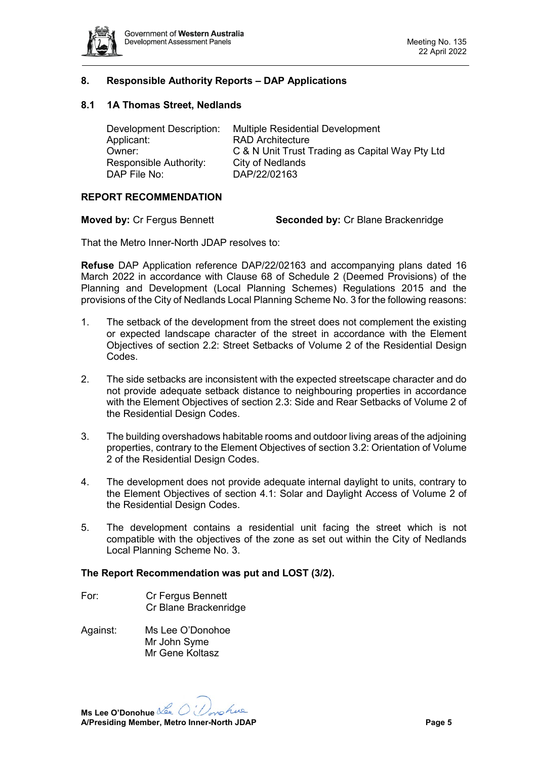

#### <span id="page-4-0"></span>**8. Responsible Authority Reports – DAP Applications**

#### <span id="page-4-1"></span>**8.1 1A Thomas Street, Nedlands**

| Development Description: | <b>Multiple Residential Development</b>         |
|--------------------------|-------------------------------------------------|
| Applicant:               | <b>RAD Architecture</b>                         |
| Owner:                   | C & N Unit Trust Trading as Capital Way Pty Ltd |
| Responsible Authority:   | City of Nedlands                                |
| DAP File No:             | DAP/22/02163                                    |

#### **REPORT RECOMMENDATION**

**Moved by:** Cr Fergus Bennett **Seconded by:** Cr Blane Brackenridge

That the Metro Inner-North JDAP resolves to:

**Refuse** DAP Application reference DAP/22/02163 and accompanying plans dated 16 March 2022 in accordance with Clause 68 of Schedule 2 (Deemed Provisions) of the Planning and Development (Local Planning Schemes) Regulations 2015 and the provisions of the City of Nedlands Local Planning Scheme No. 3 for the following reasons:

- 1. The setback of the development from the street does not complement the existing or expected landscape character of the street in accordance with the Element Objectives of section 2.2: Street Setbacks of Volume 2 of the Residential Design Codes.
- 2. The side setbacks are inconsistent with the expected streetscape character and do not provide adequate setback distance to neighbouring properties in accordance with the Element Objectives of section 2.3: Side and Rear Setbacks of Volume 2 of the Residential Design Codes.
- 3. The building overshadows habitable rooms and outdoor living areas of the adjoining properties, contrary to the Element Objectives of section 3.2: Orientation of Volume 2 of the Residential Design Codes.
- 4. The development does not provide adequate internal daylight to units, contrary to the Element Objectives of section 4.1: Solar and Daylight Access of Volume 2 of the Residential Design Codes.
- 5. The development contains a residential unit facing the street which is not compatible with the objectives of the zone as set out within the City of Nedlands Local Planning Scheme No. 3.

#### **The Report Recommendation was put and LOST (3/2).**

- For: Cr Fergus Bennett Cr Blane Brackenridge
- Against: Ms Lee O'Donohoe Mr John Syme Mr Gene Koltasz

**Ms Lee O'Donohue** nohue **A/Presiding Member, Metro Inner-North JDAP Page 5**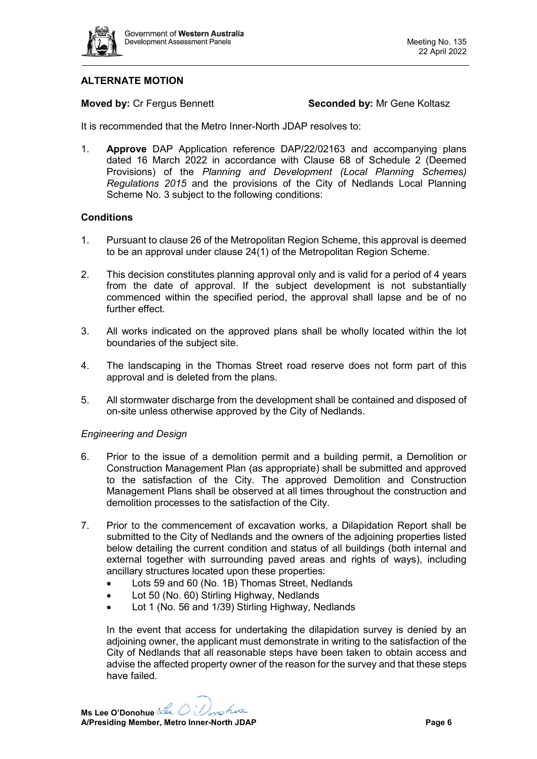

# **ALTERNATE MOTION**

**Moved by: Cr Fergus Bennett <b>Seconded by:** Mr Gene Koltasz

It is recommended that the Metro Inner-North JDAP resolves to:

1. **Approve** DAP Application reference DAP/22/02163 and accompanying plans dated 16 March 2022 in accordance with Clause 68 of Schedule 2 (Deemed Provisions) of the *Planning and Development (Local Planning Schemes) Regulations 2015* and the provisions of the City of Nedlands Local Planning Scheme No. 3 subject to the following conditions:

#### **Conditions**

- 1. Pursuant to clause 26 of the Metropolitan Region Scheme, this approval is deemed to be an approval under clause 24(1) of the Metropolitan Region Scheme.
- 2. This decision constitutes planning approval only and is valid for a period of 4 years from the date of approval. If the subject development is not substantially commenced within the specified period, the approval shall lapse and be of no further effect.
- 3. All works indicated on the approved plans shall be wholly located within the lot boundaries of the subject site.
- 4. The landscaping in the Thomas Street road reserve does not form part of this approval and is deleted from the plans.
- 5. All stormwater discharge from the development shall be contained and disposed of on-site unless otherwise approved by the City of Nedlands.

#### *Engineering and Design*

- 6. Prior to the issue of a demolition permit and a building permit, a Demolition or Construction Management Plan (as appropriate) shall be submitted and approved to the satisfaction of the City. The approved Demolition and Construction Management Plans shall be observed at all times throughout the construction and demolition processes to the satisfaction of the City.
- 7. Prior to the commencement of excavation works, a Dilapidation Report shall be submitted to the City of Nedlands and the owners of the adjoining properties listed below detailing the current condition and status of all buildings (both internal and external together with surrounding paved areas and rights of ways), including ancillary structures located upon these properties:
	- Lots 59 and 60 (No. 1B) Thomas Street, Nedlands
	- Lot 50 (No. 60) Stirling Highway, Nedlands
	- Lot 1 (No. 56 and 1/39) Stirling Highway, Nedlands

In the event that access for undertaking the dilapidation survey is denied by an adjoining owner, the applicant must demonstrate in writing to the satisfaction of the City of Nedlands that all reasonable steps have been taken to obtain access and advise the affected property owner of the reason for the survey and that these steps have failed.

**Ms Lee O'Donohue** nohue **A/Presiding Member, Metro Inner-North JDAP Page 6**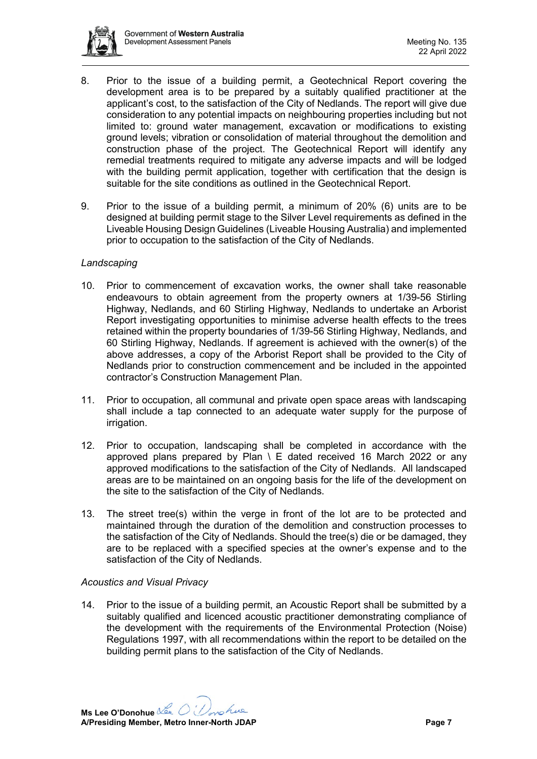

- 8. Prior to the issue of a building permit, a Geotechnical Report covering the development area is to be prepared by a suitably qualified practitioner at the applicant's cost, to the satisfaction of the City of Nedlands. The report will give due consideration to any potential impacts on neighbouring properties including but not limited to: ground water management, excavation or modifications to existing ground levels; vibration or consolidation of material throughout the demolition and construction phase of the project. The Geotechnical Report will identify any remedial treatments required to mitigate any adverse impacts and will be lodged with the building permit application, together with certification that the design is suitable for the site conditions as outlined in the Geotechnical Report.
- 9. Prior to the issue of a building permit, a minimum of 20% (6) units are to be designed at building permit stage to the Silver Level requirements as defined in the Liveable Housing Design Guidelines (Liveable Housing Australia) and implemented prior to occupation to the satisfaction of the City of Nedlands.

#### *Landscaping*

- 10. Prior to commencement of excavation works, the owner shall take reasonable endeavours to obtain agreement from the property owners at 1/39-56 Stirling Highway, Nedlands, and 60 Stirling Highway, Nedlands to undertake an Arborist Report investigating opportunities to minimise adverse health effects to the trees retained within the property boundaries of 1/39-56 Stirling Highway, Nedlands, and 60 Stirling Highway, Nedlands. If agreement is achieved with the owner(s) of the above addresses, a copy of the Arborist Report shall be provided to the City of Nedlands prior to construction commencement and be included in the appointed contractor's Construction Management Plan.
- 11. Prior to occupation, all communal and private open space areas with landscaping shall include a tap connected to an adequate water supply for the purpose of irrigation.
- 12. Prior to occupation, landscaping shall be completed in accordance with the approved plans prepared by Plan  $\setminus$  E dated received 16 March 2022 or any approved modifications to the satisfaction of the City of Nedlands. All landscaped areas are to be maintained on an ongoing basis for the life of the development on the site to the satisfaction of the City of Nedlands.
- 13. The street tree(s) within the verge in front of the lot are to be protected and maintained through the duration of the demolition and construction processes to the satisfaction of the City of Nedlands. Should the tree(s) die or be damaged, they are to be replaced with a specified species at the owner's expense and to the satisfaction of the City of Nedlands.

#### *Acoustics and Visual Privacy*

14. Prior to the issue of a building permit, an Acoustic Report shall be submitted by a suitably qualified and licenced acoustic practitioner demonstrating compliance of the development with the requirements of the Environmental Protection (Noise) Regulations 1997, with all recommendations within the report to be detailed on the building permit plans to the satisfaction of the City of Nedlands.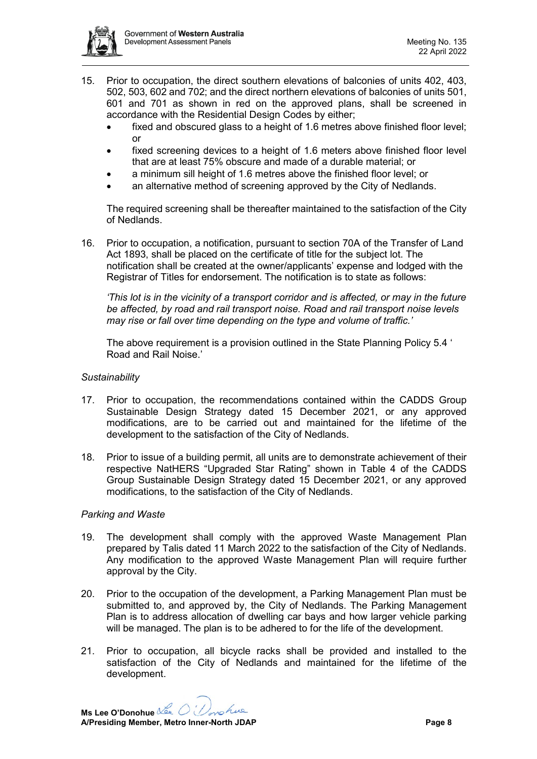

- 15. Prior to occupation, the direct southern elevations of balconies of units 402, 403, 502, 503, 602 and 702; and the direct northern elevations of balconies of units 501, 601 and 701 as shown in red on the approved plans, shall be screened in accordance with the Residential Design Codes by either;
	- fixed and obscured glass to a height of 1.6 metres above finished floor level; or
	- fixed screening devices to a height of 1.6 meters above finished floor level that are at least 75% obscure and made of a durable material; or
	- a minimum sill height of 1.6 metres above the finished floor level; or
	- an alternative method of screening approved by the City of Nedlands.

The required screening shall be thereafter maintained to the satisfaction of the City of Nedlands.

16. Prior to occupation, a notification, pursuant to section 70A of the Transfer of Land Act 1893, shall be placed on the certificate of title for the subject lot. The notification shall be created at the owner/applicants' expense and lodged with the Registrar of Titles for endorsement. The notification is to state as follows:

*'This lot is in the vicinity of a transport corridor and is affected, or may in the future be affected, by road and rail transport noise. Road and rail transport noise levels may rise or fall over time depending on the type and volume of traffic.'*

The above requirement is a provision outlined in the State Planning Policy 5.4 ' Road and Rail Noise.'

### *Sustainability*

- 17. Prior to occupation, the recommendations contained within the CADDS Group Sustainable Design Strategy dated 15 December 2021, or any approved modifications, are to be carried out and maintained for the lifetime of the development to the satisfaction of the City of Nedlands.
- 18. Prior to issue of a building permit, all units are to demonstrate achievement of their respective NatHERS "Upgraded Star Rating" shown in Table 4 of the CADDS Group Sustainable Design Strategy dated 15 December 2021, or any approved modifications, to the satisfaction of the City of Nedlands.

#### *Parking and Waste*

- 19. The development shall comply with the approved Waste Management Plan prepared by Talis dated 11 March 2022 to the satisfaction of the City of Nedlands. Any modification to the approved Waste Management Plan will require further approval by the City.
- 20. Prior to the occupation of the development, a Parking Management Plan must be submitted to, and approved by, the City of Nedlands. The Parking Management Plan is to address allocation of dwelling car bays and how larger vehicle parking will be managed. The plan is to be adhered to for the life of the development.
- 21. Prior to occupation, all bicycle racks shall be provided and installed to the satisfaction of the City of Nedlands and maintained for the lifetime of the development.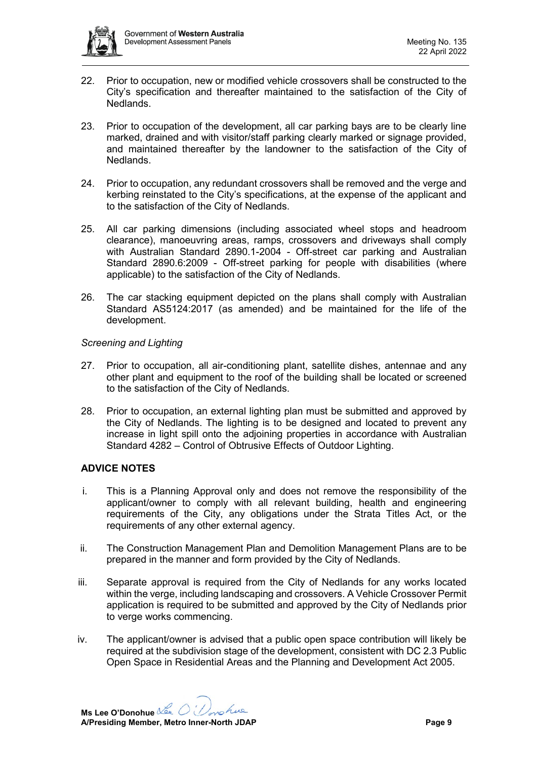

- 22. Prior to occupation, new or modified vehicle crossovers shall be constructed to the City's specification and thereafter maintained to the satisfaction of the City of Nedlands.
- 23. Prior to occupation of the development, all car parking bays are to be clearly line marked, drained and with visitor/staff parking clearly marked or signage provided, and maintained thereafter by the landowner to the satisfaction of the City of Nedlands.
- 24. Prior to occupation, any redundant crossovers shall be removed and the verge and kerbing reinstated to the City's specifications, at the expense of the applicant and to the satisfaction of the City of Nedlands.
- 25. All car parking dimensions (including associated wheel stops and headroom clearance), manoeuvring areas, ramps, crossovers and driveways shall comply with Australian Standard 2890.1-2004 - Off-street car parking and Australian Standard 2890.6:2009 - Off-street parking for people with disabilities (where applicable) to the satisfaction of the City of Nedlands.
- 26. The car stacking equipment depicted on the plans shall comply with Australian Standard AS5124:2017 (as amended) and be maintained for the life of the development.

# *Screening and Lighting*

- 27. Prior to occupation, all air-conditioning plant, satellite dishes, antennae and any other plant and equipment to the roof of the building shall be located or screened to the satisfaction of the City of Nedlands.
- 28. Prior to occupation, an external lighting plan must be submitted and approved by the City of Nedlands. The lighting is to be designed and located to prevent any increase in light spill onto the adjoining properties in accordance with Australian Standard 4282 – Control of Obtrusive Effects of Outdoor Lighting.

# **ADVICE NOTES**

- i. This is a Planning Approval only and does not remove the responsibility of the applicant/owner to comply with all relevant building, health and engineering requirements of the City, any obligations under the Strata Titles Act, or the requirements of any other external agency.
- ii. The Construction Management Plan and Demolition Management Plans are to be prepared in the manner and form provided by the City of Nedlands.
- iii. Separate approval is required from the City of Nedlands for any works located within the verge, including landscaping and crossovers. A Vehicle Crossover Permit application is required to be submitted and approved by the City of Nedlands prior to verge works commencing.
- iv. The applicant/owner is advised that a public open space contribution will likely be required at the subdivision stage of the development, consistent with DC 2.3 Public Open Space in Residential Areas and the Planning and Development Act 2005.

**Ms Lee O'Donohue** nohue **A/Presiding Member, Metro Inner-North JDAP Page 9**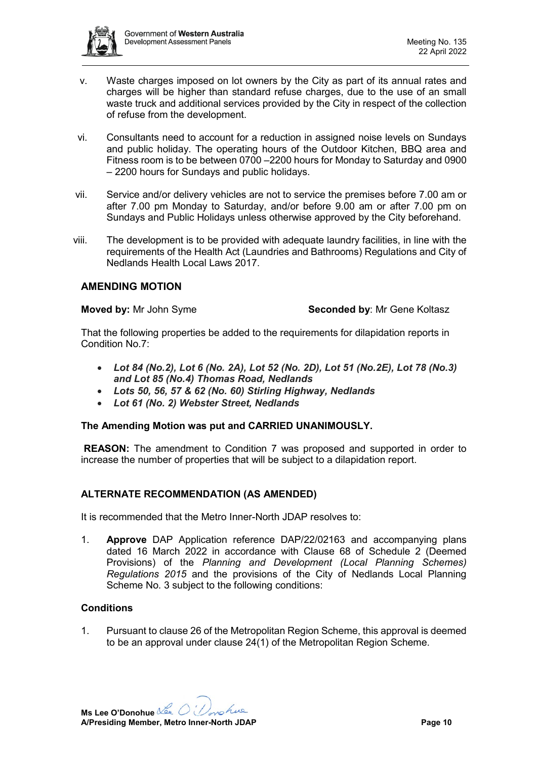

- v. Waste charges imposed on lot owners by the City as part of its annual rates and charges will be higher than standard refuse charges, due to the use of an small waste truck and additional services provided by the City in respect of the collection of refuse from the development.
- vi. Consultants need to account for a reduction in assigned noise levels on Sundays and public holiday. The operating hours of the Outdoor Kitchen, BBQ area and Fitness room is to be between 0700 –2200 hours for Monday to Saturday and 0900 – 2200 hours for Sundays and public holidays.
- vii. Service and/or delivery vehicles are not to service the premises before 7.00 am or after 7.00 pm Monday to Saturday, and/or before 9.00 am or after 7.00 pm on Sundays and Public Holidays unless otherwise approved by the City beforehand.
- viii. The development is to be provided with adequate laundry facilities, in line with the requirements of the Health Act (Laundries and Bathrooms) Regulations and City of Nedlands Health Local Laws 2017.

# **AMENDING MOTION**

#### **Moved by:** Mr John Syme **Seconded by:** Mr Gene Koltasz

That the following properties be added to the requirements for dilapidation reports in Condition No.7:

- *Lot 84 (No.2), Lot 6 (No. 2A), Lot 52 (No. 2D), Lot 51 (No.2E), Lot 78 (No.3) and Lot 85 (No.4) Thomas Road, Nedlands*
- *Lots 50, 56, 57 & 62 (No. 60) Stirling Highway, Nedlands*
- *Lot 61 (No. 2) Webster Street, Nedlands*

# **The Amending Motion was put and CARRIED UNANIMOUSLY.**

**REASON:** The amendment to Condition 7 was proposed and supported in order to increase the number of properties that will be subject to a dilapidation report.

# **ALTERNATE RECOMMENDATION (AS AMENDED)**

It is recommended that the Metro Inner-North JDAP resolves to:

1. **Approve** DAP Application reference DAP/22/02163 and accompanying plans dated 16 March 2022 in accordance with Clause 68 of Schedule 2 (Deemed Provisions) of the *Planning and Development (Local Planning Schemes) Regulations 2015* and the provisions of the City of Nedlands Local Planning Scheme No. 3 subject to the following conditions:

# **Conditions**

1. Pursuant to clause 26 of the Metropolitan Region Scheme, this approval is deemed to be an approval under clause 24(1) of the Metropolitan Region Scheme.

**Ms Lee O'Donohue** nohue **A/Presiding Member, Metro Inner-North JDAP Page 10**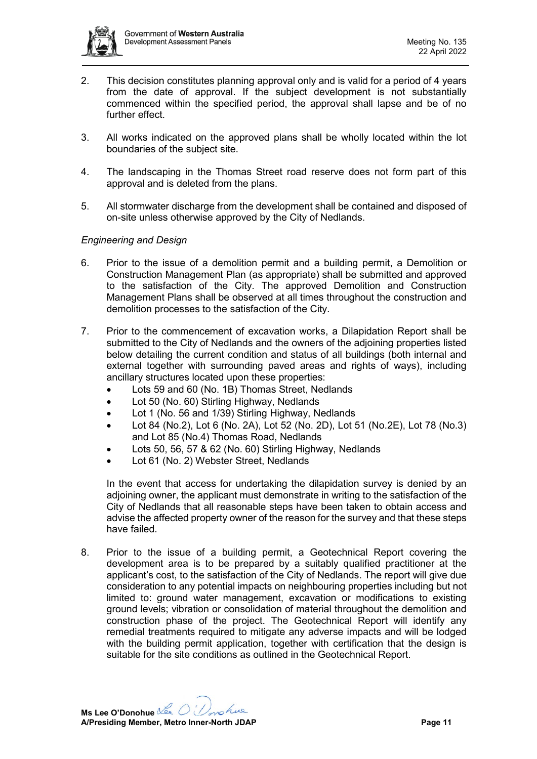

- 2. This decision constitutes planning approval only and is valid for a period of 4 years from the date of approval. If the subject development is not substantially commenced within the specified period, the approval shall lapse and be of no further effect.
- 3. All works indicated on the approved plans shall be wholly located within the lot boundaries of the subject site.
- 4. The landscaping in the Thomas Street road reserve does not form part of this approval and is deleted from the plans.
- 5. All stormwater discharge from the development shall be contained and disposed of on-site unless otherwise approved by the City of Nedlands.

# *Engineering and Design*

- 6. Prior to the issue of a demolition permit and a building permit, a Demolition or Construction Management Plan (as appropriate) shall be submitted and approved to the satisfaction of the City. The approved Demolition and Construction Management Plans shall be observed at all times throughout the construction and demolition processes to the satisfaction of the City.
- 7. Prior to the commencement of excavation works, a Dilapidation Report shall be submitted to the City of Nedlands and the owners of the adjoining properties listed below detailing the current condition and status of all buildings (both internal and external together with surrounding paved areas and rights of ways), including ancillary structures located upon these properties:
	- Lots 59 and 60 (No. 1B) Thomas Street, Nedlands
	- Lot 50 (No. 60) Stirling Highway, Nedlands
	- Lot 1 (No. 56 and 1/39) Stirling Highway, Nedlands
	- Lot 84 (No.2), Lot 6 (No. 2A), Lot 52 (No. 2D), Lot 51 (No.2E), Lot 78 (No.3) and Lot 85 (No.4) Thomas Road, Nedlands
	- Lots 50, 56, 57 & 62 (No. 60) Stirling Highway, Nedlands
	- Lot 61 (No. 2) Webster Street, Nedlands

In the event that access for undertaking the dilapidation survey is denied by an adjoining owner, the applicant must demonstrate in writing to the satisfaction of the City of Nedlands that all reasonable steps have been taken to obtain access and advise the affected property owner of the reason for the survey and that these steps have failed.

8. Prior to the issue of a building permit, a Geotechnical Report covering the development area is to be prepared by a suitably qualified practitioner at the applicant's cost, to the satisfaction of the City of Nedlands. The report will give due consideration to any potential impacts on neighbouring properties including but not limited to: ground water management, excavation or modifications to existing ground levels; vibration or consolidation of material throughout the demolition and construction phase of the project. The Geotechnical Report will identify any remedial treatments required to mitigate any adverse impacts and will be lodged with the building permit application, together with certification that the design is suitable for the site conditions as outlined in the Geotechnical Report.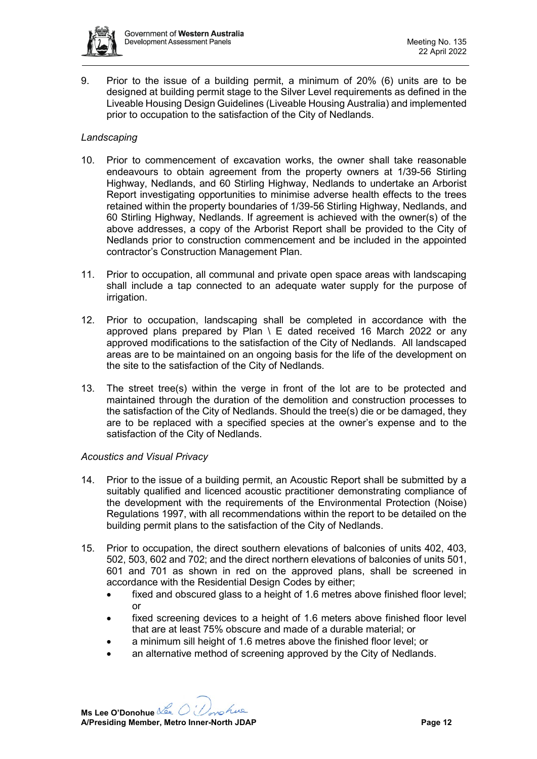

9. Prior to the issue of a building permit, a minimum of 20% (6) units are to be designed at building permit stage to the Silver Level requirements as defined in the Liveable Housing Design Guidelines (Liveable Housing Australia) and implemented prior to occupation to the satisfaction of the City of Nedlands.

# *Landscaping*

- 10. Prior to commencement of excavation works, the owner shall take reasonable endeavours to obtain agreement from the property owners at 1/39-56 Stirling Highway, Nedlands, and 60 Stirling Highway, Nedlands to undertake an Arborist Report investigating opportunities to minimise adverse health effects to the trees retained within the property boundaries of 1/39-56 Stirling Highway, Nedlands, and 60 Stirling Highway, Nedlands. If agreement is achieved with the owner(s) of the above addresses, a copy of the Arborist Report shall be provided to the City of Nedlands prior to construction commencement and be included in the appointed contractor's Construction Management Plan.
- 11. Prior to occupation, all communal and private open space areas with landscaping shall include a tap connected to an adequate water supply for the purpose of irrigation.
- 12. Prior to occupation, landscaping shall be completed in accordance with the approved plans prepared by Plan  $\setminus$  E dated received 16 March 2022 or any approved modifications to the satisfaction of the City of Nedlands. All landscaped areas are to be maintained on an ongoing basis for the life of the development on the site to the satisfaction of the City of Nedlands.
- 13. The street tree(s) within the verge in front of the lot are to be protected and maintained through the duration of the demolition and construction processes to the satisfaction of the City of Nedlands. Should the tree(s) die or be damaged, they are to be replaced with a specified species at the owner's expense and to the satisfaction of the City of Nedlands.

# *Acoustics and Visual Privacy*

- 14. Prior to the issue of a building permit, an Acoustic Report shall be submitted by a suitably qualified and licenced acoustic practitioner demonstrating compliance of the development with the requirements of the Environmental Protection (Noise) Regulations 1997, with all recommendations within the report to be detailed on the building permit plans to the satisfaction of the City of Nedlands.
- 15. Prior to occupation, the direct southern elevations of balconies of units 402, 403, 502, 503, 602 and 702; and the direct northern elevations of balconies of units 501, 601 and 701 as shown in red on the approved plans, shall be screened in accordance with the Residential Design Codes by either;
	- fixed and obscured glass to a height of 1.6 metres above finished floor level; or
	- fixed screening devices to a height of 1.6 meters above finished floor level that are at least 75% obscure and made of a durable material; or
	- a minimum sill height of 1.6 metres above the finished floor level; or
	- an alternative method of screening approved by the City of Nedlands.

**Ms Lee O'Donohue** nohue **A/Presiding Member, Metro Inner-North JDAP Page 12**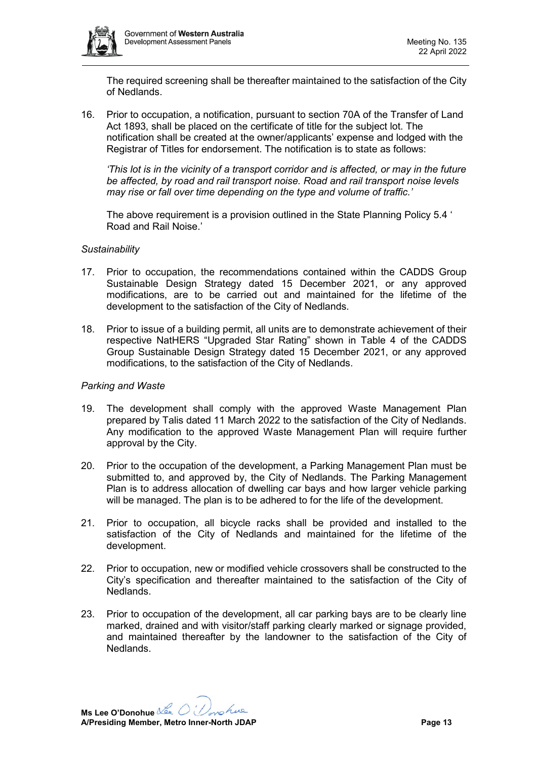

The required screening shall be thereafter maintained to the satisfaction of the City of Nedlands.

16. Prior to occupation, a notification, pursuant to section 70A of the Transfer of Land Act 1893, shall be placed on the certificate of title for the subject lot. The notification shall be created at the owner/applicants' expense and lodged with the Registrar of Titles for endorsement. The notification is to state as follows:

*'This lot is in the vicinity of a transport corridor and is affected, or may in the future be affected, by road and rail transport noise. Road and rail transport noise levels may rise or fall over time depending on the type and volume of traffic.'*

The above requirement is a provision outlined in the State Planning Policy 5.4 ' Road and Rail Noise.'

#### *Sustainability*

- 17. Prior to occupation, the recommendations contained within the CADDS Group Sustainable Design Strategy dated 15 December 2021, or any approved modifications, are to be carried out and maintained for the lifetime of the development to the satisfaction of the City of Nedlands.
- 18. Prior to issue of a building permit, all units are to demonstrate achievement of their respective NatHERS "Upgraded Star Rating" shown in Table 4 of the CADDS Group Sustainable Design Strategy dated 15 December 2021, or any approved modifications, to the satisfaction of the City of Nedlands.

#### *Parking and Waste*

- 19. The development shall comply with the approved Waste Management Plan prepared by Talis dated 11 March 2022 to the satisfaction of the City of Nedlands. Any modification to the approved Waste Management Plan will require further approval by the City.
- 20. Prior to the occupation of the development, a Parking Management Plan must be submitted to, and approved by, the City of Nedlands. The Parking Management Plan is to address allocation of dwelling car bays and how larger vehicle parking will be managed. The plan is to be adhered to for the life of the development.
- 21. Prior to occupation, all bicycle racks shall be provided and installed to the satisfaction of the City of Nedlands and maintained for the lifetime of the development.
- 22. Prior to occupation, new or modified vehicle crossovers shall be constructed to the City's specification and thereafter maintained to the satisfaction of the City of Nedlands.
- 23. Prior to occupation of the development, all car parking bays are to be clearly line marked, drained and with visitor/staff parking clearly marked or signage provided, and maintained thereafter by the landowner to the satisfaction of the City of Nedlands.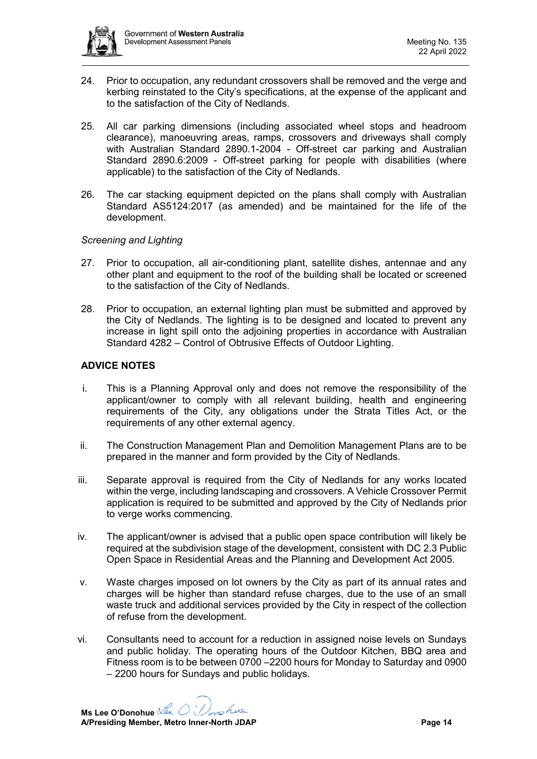

- 24. Prior to occupation, any redundant crossovers shall be removed and the verge and kerbing reinstated to the City's specifications, at the expense of the applicant and to the satisfaction of the City of Nedlands.
- 25. All car parking dimensions (including associated wheel stops and headroom clearance), manoeuvring areas, ramps, crossovers and driveways shall comply with Australian Standard 2890.1-2004 - Off-street car parking and Australian Standard 2890.6:2009 - Off-street parking for people with disabilities (where applicable) to the satisfaction of the City of Nedlands.
- 26. The car stacking equipment depicted on the plans shall comply with Australian Standard AS5124:2017 (as amended) and be maintained for the life of the development.

#### *Screening and Lighting*

- 27. Prior to occupation, all air-conditioning plant, satellite dishes, antennae and any other plant and equipment to the roof of the building shall be located or screened to the satisfaction of the City of Nedlands.
- 28. Prior to occupation, an external lighting plan must be submitted and approved by the City of Nedlands. The lighting is to be designed and located to prevent any increase in light spill onto the adjoining properties in accordance with Australian Standard 4282 – Control of Obtrusive Effects of Outdoor Lighting.

#### **ADVICE NOTES**

- i. This is a Planning Approval only and does not remove the responsibility of the applicant/owner to comply with all relevant building, health and engineering requirements of the City, any obligations under the Strata Titles Act, or the requirements of any other external agency.
- ii. The Construction Management Plan and Demolition Management Plans are to be prepared in the manner and form provided by the City of Nedlands.
- iii. Separate approval is required from the City of Nedlands for any works located within the verge, including landscaping and crossovers. A Vehicle Crossover Permit application is required to be submitted and approved by the City of Nedlands prior to verge works commencing.
- iv. The applicant/owner is advised that a public open space contribution will likely be required at the subdivision stage of the development, consistent with DC 2.3 Public Open Space in Residential Areas and the Planning and Development Act 2005.
- v. Waste charges imposed on lot owners by the City as part of its annual rates and charges will be higher than standard refuse charges, due to the use of an small waste truck and additional services provided by the City in respect of the collection of refuse from the development.
- vi. Consultants need to account for a reduction in assigned noise levels on Sundays and public holiday. The operating hours of the Outdoor Kitchen, BBQ area and Fitness room is to be between 0700 –2200 hours for Monday to Saturday and 0900 – 2200 hours for Sundays and public holidays.

**Ms Lee O'Donohue A/Presiding Member, Metro Inner-North JDAP Page 14**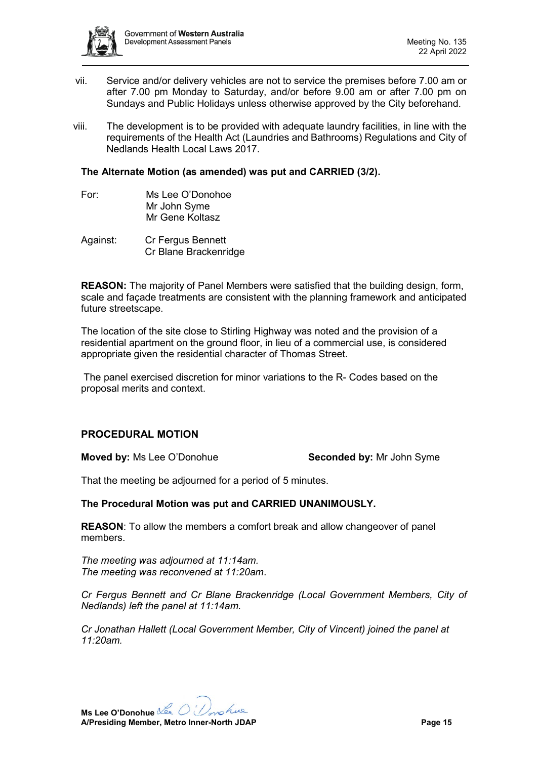

- vii. Service and/or delivery vehicles are not to service the premises before 7.00 am or after 7.00 pm Monday to Saturday, and/or before 9.00 am or after 7.00 pm on Sundays and Public Holidays unless otherwise approved by the City beforehand.
- viii. The development is to be provided with adequate laundry facilities, in line with the requirements of the Health Act (Laundries and Bathrooms) Regulations and City of Nedlands Health Local Laws 2017.

#### **The Alternate Motion (as amended) was put and CARRIED (3/2).**

- For: Ms Lee O'Donohoe Mr John Syme Mr Gene Koltasz
- Against: Cr Fergus Bennett Cr Blane Brackenridge

**REASON:** The majority of Panel Members were satisfied that the building design, form, scale and façade treatments are consistent with the planning framework and anticipated future streetscape.

The location of the site close to Stirling Highway was noted and the provision of a residential apartment on the ground floor, in lieu of a commercial use, is considered appropriate given the residential character of Thomas Street.

The panel exercised discretion for minor variations to the R- Codes based on the proposal merits and context.

# **PROCEDURAL MOTION**

**Moved by:** Ms Lee O'Donohue **Seconded by:** Mr John Syme

That the meeting be adjourned for a period of 5 minutes.

#### **The Procedural Motion was put and CARRIED UNANIMOUSLY.**

**REASON**: To allow the members a comfort break and allow changeover of panel members.

*The meeting was adjourned at 11:14am. The meeting was reconvened at 11:20am*.

*Cr Fergus Bennett and Cr Blane Brackenridge (Local Government Members, City of Nedlands) left the panel at 11:14am.*

*Cr Jonathan Hallett (Local Government Member, City of Vincent) joined the panel at 11:20am.*

**Ms Lee O'Donohue** nohue **A/Presiding Member, Metro Inner-North JDAP Page 15**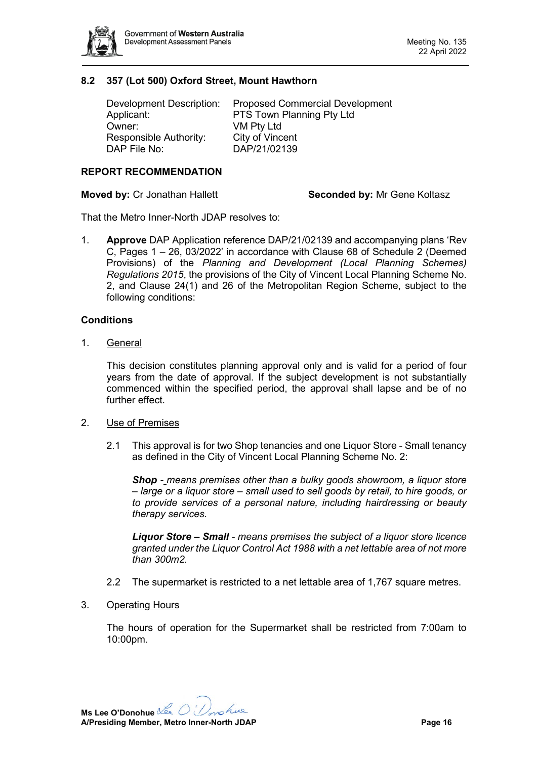

# <span id="page-15-0"></span>**8.2 357 (Lot 500) Oxford Street, Mount Hawthorn**

| Development Description: | <b>Proposed Commercial Development</b> |
|--------------------------|----------------------------------------|
| Applicant:               | PTS Town Planning Pty Ltd              |
| Owner:                   | VM Pty Ltd                             |
| Responsible Authority:   | City of Vincent                        |
| DAP File No:             | DAP/21/02139                           |

#### **REPORT RECOMMENDATION**

**Moved by:** Cr Jonathan Hallett **Seconded by:** Mr Gene Koltasz

That the Metro Inner-North JDAP resolves to:

1. **Approve** DAP Application reference DAP/21/02139 and accompanying plans 'Rev C, Pages 1 – 26, 03/2022' in accordance with Clause 68 of Schedule 2 (Deemed Provisions) of the *Planning and Development (Local Planning Schemes) Regulations 2015*, the provisions of the City of Vincent Local Planning Scheme No. 2, and Clause 24(1) and 26 of the Metropolitan Region Scheme, subject to the following conditions:

#### **Conditions**

1. General

This decision constitutes planning approval only and is valid for a period of four years from the date of approval. If the subject development is not substantially commenced within the specified period, the approval shall lapse and be of no further effect.

- 2. Use of Premises
	- 2.1 This approval is for two Shop tenancies and one Liquor Store Small tenancy as defined in the City of Vincent Local Planning Scheme No. 2:

*Shop - means premises other than a bulky goods showroom, a liquor store – large or a liquor store – small used to sell goods by retail, to hire goods, or to provide services of a personal nature, including hairdressing or beauty therapy services.*

*Liquor Store – Small - means premises the subject of a liquor store licence granted under the Liquor Control Act 1988 with a net lettable area of not more than 300m2.*

- 2.2 The supermarket is restricted to a net lettable area of 1,767 square metres.
- 3. Operating Hours

The hours of operation for the Supermarket shall be restricted from 7:00am to 10:00pm.

**Ms Lee O'Donohue** nohue **A/Presiding Member, Metro Inner-North JDAP Page 16**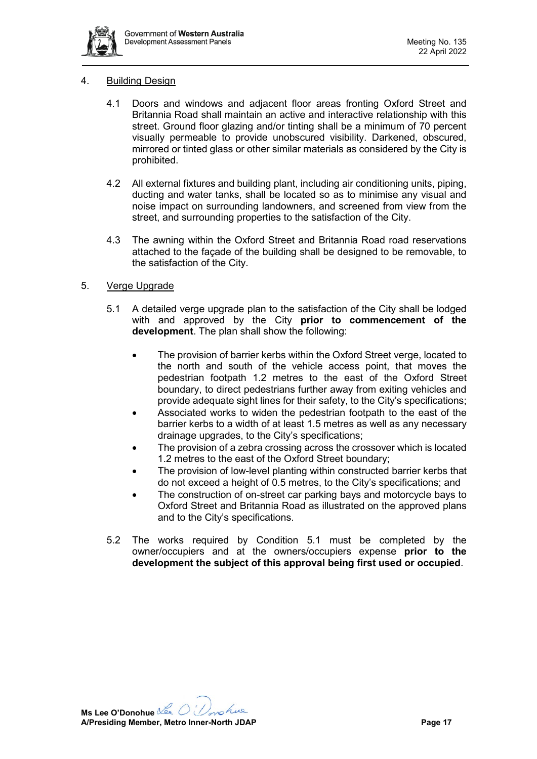

#### 4. Building Design

- 4.1 Doors and windows and adjacent floor areas fronting Oxford Street and Britannia Road shall maintain an active and interactive relationship with this street. Ground floor glazing and/or tinting shall be a minimum of 70 percent visually permeable to provide unobscured visibility. Darkened, obscured, mirrored or tinted glass or other similar materials as considered by the City is prohibited.
- 4.2 All external fixtures and building plant, including air conditioning units, piping, ducting and water tanks, shall be located so as to minimise any visual and noise impact on surrounding landowners, and screened from view from the street, and surrounding properties to the satisfaction of the City.
- 4.3 The awning within the Oxford Street and Britannia Road road reservations attached to the façade of the building shall be designed to be removable, to the satisfaction of the City.

#### 5. Verge Upgrade

- 5.1 A detailed verge upgrade plan to the satisfaction of the City shall be lodged with and approved by the City **prior to commencement of the development**. The plan shall show the following:
	- The provision of barrier kerbs within the Oxford Street verge, located to the north and south of the vehicle access point, that moves the pedestrian footpath 1.2 metres to the east of the Oxford Street boundary, to direct pedestrians further away from exiting vehicles and provide adequate sight lines for their safety, to the City's specifications;
	- Associated works to widen the pedestrian footpath to the east of the barrier kerbs to a width of at least 1.5 metres as well as any necessary drainage upgrades, to the City's specifications;
	- The provision of a zebra crossing across the crossover which is located 1.2 metres to the east of the Oxford Street boundary;
	- The provision of low-level planting within constructed barrier kerbs that do not exceed a height of 0.5 metres, to the City's specifications; and
	- The construction of on-street car parking bays and motorcycle bays to Oxford Street and Britannia Road as illustrated on the approved plans and to the City's specifications.
- 5.2 The works required by Condition 5.1 must be completed by the owner/occupiers and at the owners/occupiers expense **prior to the development the subject of this approval being first used or occupied**.

**Ms Lee O'Donohue** nohue **A/Presiding Member, Metro Inner-North JDAP Page 17**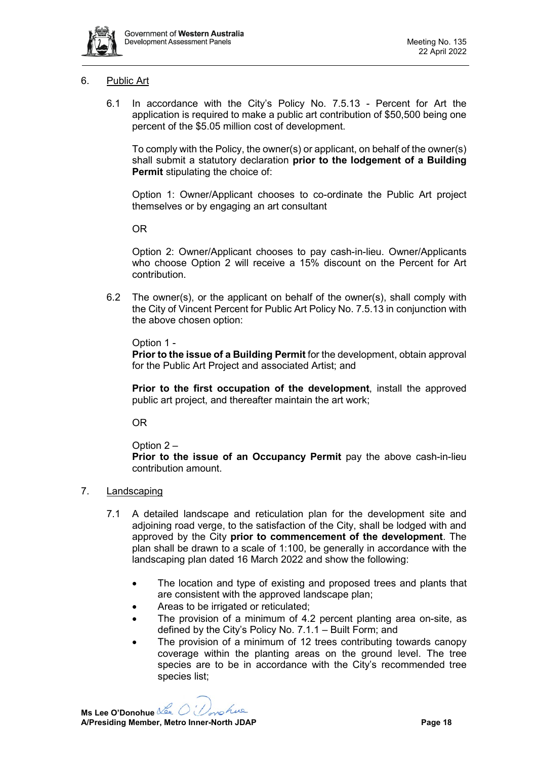

# 6. Public Art

6.1 In accordance with the City's Policy No. 7.5.13 - Percent for Art the application is required to make a public art contribution of \$50,500 being one percent of the \$5.05 million cost of development.

To comply with the Policy, the owner(s) or applicant, on behalf of the owner(s) shall submit a statutory declaration **prior to the lodgement of a Building Permit** stipulating the choice of:

Option 1: Owner/Applicant chooses to co-ordinate the Public Art project themselves or by engaging an art consultant

OR

Option 2: Owner/Applicant chooses to pay cash-in-lieu. Owner/Applicants who choose Option 2 will receive a 15% discount on the Percent for Art contribution.

6.2 The owner(s), or the applicant on behalf of the owner(s), shall comply with the City of Vincent Percent for Public Art Policy No. 7.5.13 in conjunction with the above chosen option:

Option 1 -

**Prior to the issue of a Building Permit** for the development, obtain approval for the Public Art Project and associated Artist; and

**Prior to the first occupation of the development**, install the approved public art project, and thereafter maintain the art work;

OR

Option 2 –

**Prior to the issue of an Occupancy Permit** pay the above cash-in-lieu contribution amount.

# 7. Landscaping

- 7.1 A detailed landscape and reticulation plan for the development site and adjoining road verge, to the satisfaction of the City, shall be lodged with and approved by the City **prior to commencement of the development**. The plan shall be drawn to a scale of 1:100, be generally in accordance with the landscaping plan dated 16 March 2022 and show the following:
	- The location and type of existing and proposed trees and plants that are consistent with the approved landscape plan;
	- Areas to be irrigated or reticulated;
	- The provision of a minimum of 4.2 percent planting area on-site, as defined by the City's Policy No. 7.1.1 – Built Form; and
	- The provision of a minimum of 12 trees contributing towards canopy coverage within the planting areas on the ground level. The tree species are to be in accordance with the City's recommended tree species list;

**Ms Lee O'Donohue** nohue **A/Presiding Member, Metro Inner-North JDAP Page 18**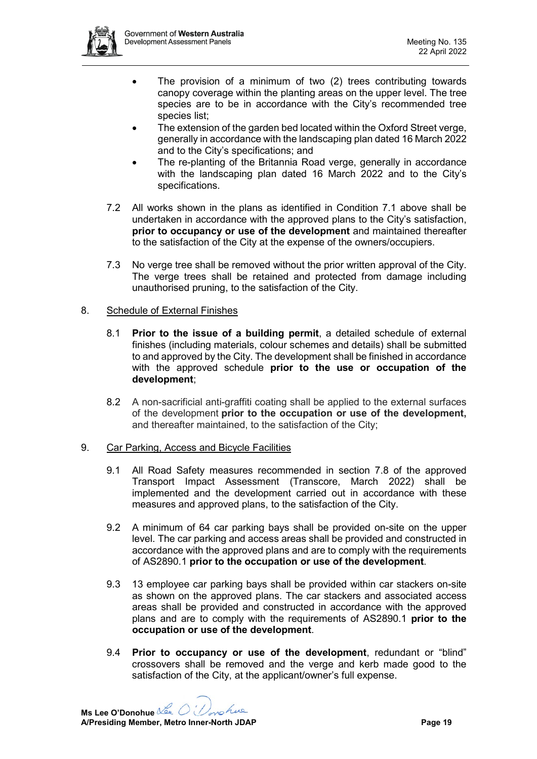

- The provision of a minimum of two (2) trees contributing towards canopy coverage within the planting areas on the upper level. The tree species are to be in accordance with the City's recommended tree species list;
- The extension of the garden bed located within the Oxford Street verge, generally in accordance with the landscaping plan dated 16 March 2022 and to the City's specifications; and
- The re-planting of the Britannia Road verge, generally in accordance with the landscaping plan dated 16 March 2022 and to the City's specifications.
- 7.2 All works shown in the plans as identified in Condition 7.1 above shall be undertaken in accordance with the approved plans to the City's satisfaction, **prior to occupancy or use of the development** and maintained thereafter to the satisfaction of the City at the expense of the owners/occupiers.
- 7.3 No verge tree shall be removed without the prior written approval of the City. The verge trees shall be retained and protected from damage including unauthorised pruning, to the satisfaction of the City.

# 8. Schedule of External Finishes

- 8.1 **Prior to the issue of a building permit**, a detailed schedule of external finishes (including materials, colour schemes and details) shall be submitted to and approved by the City. The development shall be finished in accordance with the approved schedule **prior to the use or occupation of the development**;
- 8.2 A non-sacrificial anti-graffiti coating shall be applied to the external surfaces of the development **prior to the occupation or use of the development,**  and thereafter maintained, to the satisfaction of the City;

# 9. Car Parking, Access and Bicycle Facilities

- 9.1 All Road Safety measures recommended in section 7.8 of the approved Transport Impact Assessment (Transcore, March 2022) shall be implemented and the development carried out in accordance with these measures and approved plans, to the satisfaction of the City.
- 9.2 A minimum of 64 car parking bays shall be provided on-site on the upper level. The car parking and access areas shall be provided and constructed in accordance with the approved plans and are to comply with the requirements of AS2890.1 **prior to the occupation or use of the development**.
- 9.3 13 employee car parking bays shall be provided within car stackers on-site as shown on the approved plans. The car stackers and associated access areas shall be provided and constructed in accordance with the approved plans and are to comply with the requirements of AS2890.1 **prior to the occupation or use of the development**.
- 9.4 **Prior to occupancy or use of the development**, redundant or "blind" crossovers shall be removed and the verge and kerb made good to the satisfaction of the City, at the applicant/owner's full expense.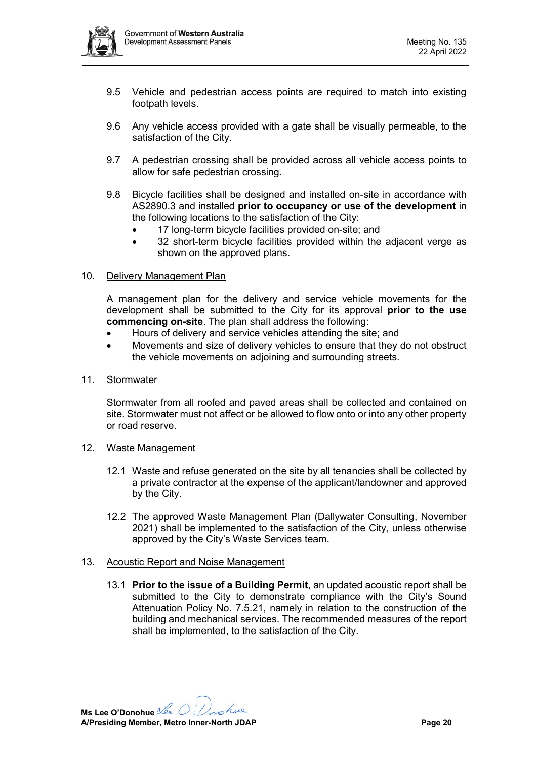

- 9.5 Vehicle and pedestrian access points are required to match into existing footpath levels.
- 9.6 Any vehicle access provided with a gate shall be visually permeable, to the satisfaction of the City.
- 9.7 A pedestrian crossing shall be provided across all vehicle access points to allow for safe pedestrian crossing.
- 9.8 Bicycle facilities shall be designed and installed on-site in accordance with AS2890.3 and installed **prior to occupancy or use of the development** in the following locations to the satisfaction of the City:
	- 17 long-term bicycle facilities provided on-site; and
	- 32 short-term bicycle facilities provided within the adjacent verge as shown on the approved plans.

# 10. Delivery Management Plan

A management plan for the delivery and service vehicle movements for the development shall be submitted to the City for its approval **prior to the use commencing on-site**. The plan shall address the following:

- Hours of delivery and service vehicles attending the site; and
- Movements and size of delivery vehicles to ensure that they do not obstruct the vehicle movements on adjoining and surrounding streets.
- 11. Stormwater

Stormwater from all roofed and paved areas shall be collected and contained on site. Stormwater must not affect or be allowed to flow onto or into any other property or road reserve.

#### 12. Waste Management

- 12.1 Waste and refuse generated on the site by all tenancies shall be collected by a private contractor at the expense of the applicant/landowner and approved by the City.
- 12.2 The approved Waste Management Plan (Dallywater Consulting, November 2021) shall be implemented to the satisfaction of the City, unless otherwise approved by the City's Waste Services team.

#### 13. Acoustic Report and Noise Management

13.1 **Prior to the issue of a Building Permit**, an updated acoustic report shall be submitted to the City to demonstrate compliance with the City's Sound Attenuation Policy No. 7.5.21, namely in relation to the construction of the building and mechanical services. The recommended measures of the report shall be implemented, to the satisfaction of the City.

**Ms Lee O'Donohue** nohue **A/Presiding Member, Metro Inner-North JDAP Page 20**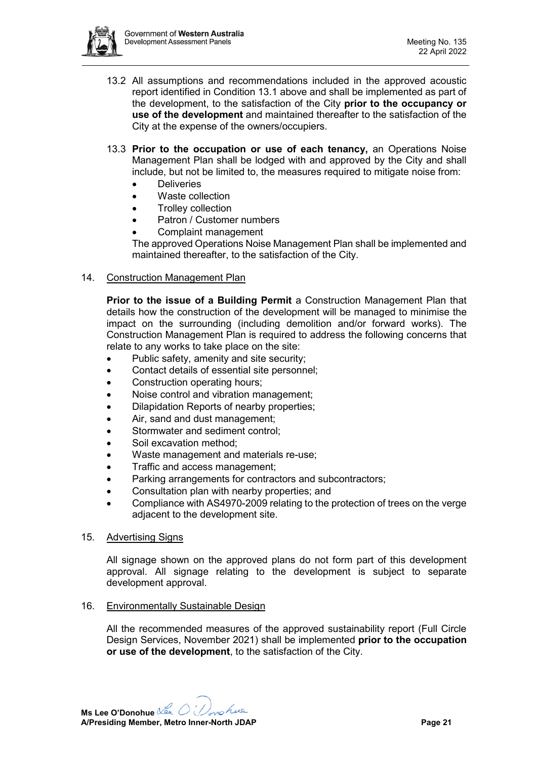

- 13.2 All assumptions and recommendations included in the approved acoustic report identified in Condition 13.1 above and shall be implemented as part of the development, to the satisfaction of the City **prior to the occupancy or use of the development** and maintained thereafter to the satisfaction of the City at the expense of the owners/occupiers.
- 13.3 **Prior to the occupation or use of each tenancy,** an Operations Noise Management Plan shall be lodged with and approved by the City and shall include, but not be limited to, the measures required to mitigate noise from:
	- Deliveries
	- Waste collection
	- Trolley collection
	- Patron / Customer numbers
	- Complaint management

The approved Operations Noise Management Plan shall be implemented and maintained thereafter, to the satisfaction of the City.

#### 14. Construction Management Plan

**Prior to the issue of a Building Permit** a Construction Management Plan that details how the construction of the development will be managed to minimise the impact on the surrounding (including demolition and/or forward works). The Construction Management Plan is required to address the following concerns that relate to any works to take place on the site:

- Public safety, amenity and site security;
- Contact details of essential site personnel;
- Construction operating hours;
- Noise control and vibration management;
- Dilapidation Reports of nearby properties;
- Air, sand and dust management;
- Stormwater and sediment control:
- Soil excavation method:
- Waste management and materials re-use;
- Traffic and access management;
- Parking arrangements for contractors and subcontractors;
- Consultation plan with nearby properties; and
- Compliance with AS4970-2009 relating to the protection of trees on the verge adjacent to the development site.
- 15. Advertising Signs

All signage shown on the approved plans do not form part of this development approval. All signage relating to the development is subject to separate development approval.

16. Environmentally Sustainable Design

All the recommended measures of the approved sustainability report (Full Circle Design Services, November 2021) shall be implemented **prior to the occupation or use of the development**, to the satisfaction of the City.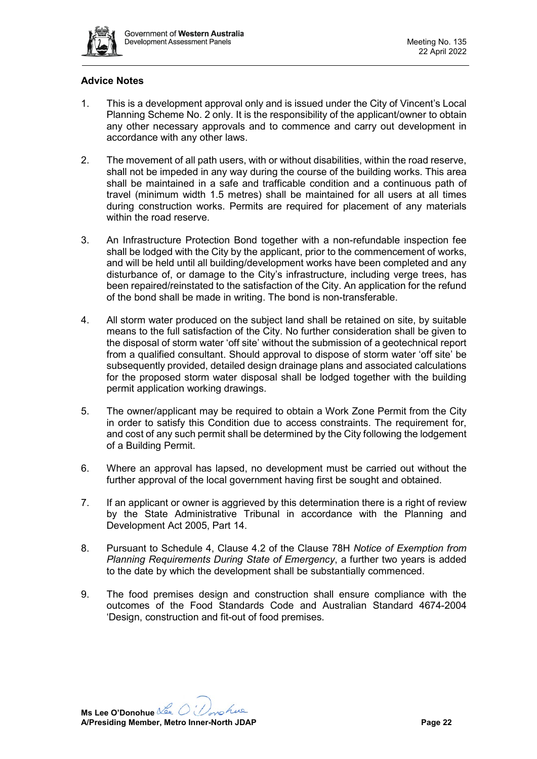

# **Advice Notes**

- 1. This is a development approval only and is issued under the City of Vincent's Local Planning Scheme No. 2 only. It is the responsibility of the applicant/owner to obtain any other necessary approvals and to commence and carry out development in accordance with any other laws.
- 2. The movement of all path users, with or without disabilities, within the road reserve, shall not be impeded in any way during the course of the building works. This area shall be maintained in a safe and trafficable condition and a continuous path of travel (minimum width 1.5 metres) shall be maintained for all users at all times during construction works. Permits are required for placement of any materials within the road reserve.
- 3. An Infrastructure Protection Bond together with a non-refundable inspection fee shall be lodged with the City by the applicant, prior to the commencement of works, and will be held until all building/development works have been completed and any disturbance of, or damage to the City's infrastructure, including verge trees, has been repaired/reinstated to the satisfaction of the City. An application for the refund of the bond shall be made in writing. The bond is non-transferable.
- 4. All storm water produced on the subject land shall be retained on site, by suitable means to the full satisfaction of the City. No further consideration shall be given to the disposal of storm water 'off site' without the submission of a geotechnical report from a qualified consultant. Should approval to dispose of storm water 'off site' be subsequently provided, detailed design drainage plans and associated calculations for the proposed storm water disposal shall be lodged together with the building permit application working drawings.
- 5. The owner/applicant may be required to obtain a Work Zone Permit from the City in order to satisfy this Condition due to access constraints. The requirement for, and cost of any such permit shall be determined by the City following the lodgement of a Building Permit.
- 6. Where an approval has lapsed, no development must be carried out without the further approval of the local government having first be sought and obtained.
- 7. If an applicant or owner is aggrieved by this determination there is a right of review by the State Administrative Tribunal in accordance with the Planning and Development Act 2005, Part 14.
- 8. Pursuant to Schedule 4, Clause 4.2 of the Clause 78H *Notice of Exemption from Planning Requirements During State of Emergency*, a further two years is added to the date by which the development shall be substantially commenced.
- 9. The food premises design and construction shall ensure compliance with the outcomes of the Food Standards Code and Australian Standard 4674-2004 'Design, construction and fit-out of food premises.

**Ms Lee O'Donohue** nohue **A/Presiding Member, Metro Inner-North JDAP Page 22**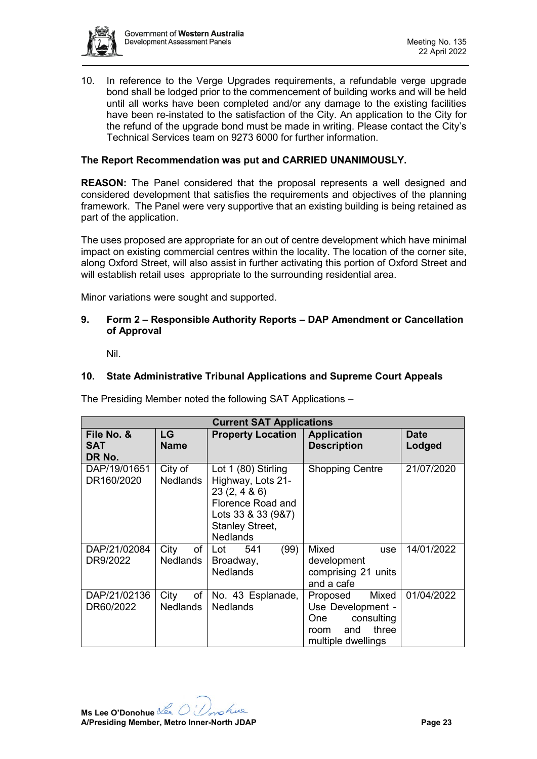

10. In reference to the Verge Upgrades requirements, a refundable verge upgrade bond shall be lodged prior to the commencement of building works and will be held until all works have been completed and/or any damage to the existing facilities have been re-instated to the satisfaction of the City. An application to the City for the refund of the upgrade bond must be made in writing. Please contact the City's Technical Services team on 9273 6000 for further information.

### **The Report Recommendation was put and CARRIED UNANIMOUSLY.**

**REASON:** The Panel considered that the proposal represents a well designed and considered development that satisfies the requirements and objectives of the planning framework. The Panel were very supportive that an existing building is being retained as part of the application.

The uses proposed are appropriate for an out of centre development which have minimal impact on existing commercial centres within the locality. The location of the corner site, along Oxford Street, will also assist in further activating this portion of Oxford Street and will establish retail uses appropriate to the surrounding residential area.

<span id="page-22-0"></span>Minor variations were sought and supported.

#### **9. Form 2 – Responsible Authority Reports – DAP Amendment or Cancellation of Approval**

Nil.

#### <span id="page-22-2"></span><span id="page-22-1"></span>**10. State Administrative Tribunal Applications and Supreme Court Appeals**

The Presiding Member noted the following SAT Applications –

| <b>Current SAT Applications</b>    |                               |                                                                                                                                                |                                                                                                           |                       |
|------------------------------------|-------------------------------|------------------------------------------------------------------------------------------------------------------------------------------------|-----------------------------------------------------------------------------------------------------------|-----------------------|
| File No. &<br><b>SAT</b><br>DR No. | <b>LG</b><br><b>Name</b>      | <b>Property Location</b>                                                                                                                       | <b>Application</b><br><b>Description</b>                                                                  | <b>Date</b><br>Lodged |
| DAP/19/01651<br>DR160/2020         | City of<br><b>Nedlands</b>    | Lot 1 (80) Stirling<br>Highway, Lots 21-<br>23(2, 486)<br>Florence Road and<br>Lots 33 & 33 (9&7)<br><b>Stanley Street,</b><br><b>Nedlands</b> | <b>Shopping Centre</b>                                                                                    | 21/07/2020            |
| DAP/21/02084<br>DR9/2022           | City<br><b>Nedlands</b>       | of ∣ Lot<br>(99)<br>541<br>Broadway,<br><b>Nedlands</b>                                                                                        | <b>Mixed</b><br><b>use</b><br>development<br>comprising 21 units<br>and a cafe                            | 14/01/2022            |
| DAP/21/02136<br>DR60/2022          | City<br>of<br><b>Nedlands</b> | No. 43 Esplanade,<br><b>Nedlands</b>                                                                                                           | Mixed<br>Proposed<br>Use Development -<br>consulting<br>One<br>three<br>and<br>room<br>multiple dwellings | 01/04/2022            |

**Ms Lee O'Donohue** nohue **A/Presiding Member, Metro Inner-North JDAP Page 23**